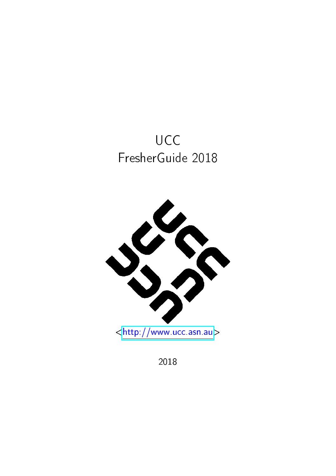



2018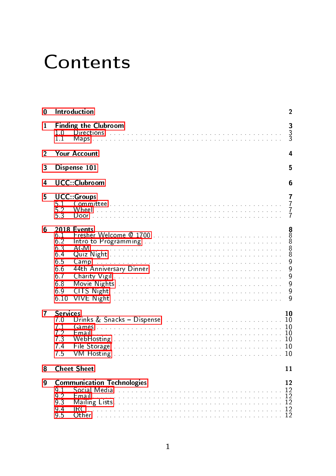# **Contents**

| 0              | Introduction<br>$\overline{2}$                                                 |                                                                                                                                                                                                                                                                                                                                                                                                                                                                                                                                                                                                                                                                                   |  |  |  |
|----------------|--------------------------------------------------------------------------------|-----------------------------------------------------------------------------------------------------------------------------------------------------------------------------------------------------------------------------------------------------------------------------------------------------------------------------------------------------------------------------------------------------------------------------------------------------------------------------------------------------------------------------------------------------------------------------------------------------------------------------------------------------------------------------------|--|--|--|
| 1              | 1.0<br>11                                                                      | 3<br><b>Finding the Clubroom</b><br>3<br>Directions in the contract of the contract of the contract of the contract of the contract of the contract of the contract of the contract of the contract of the contract of the contract of the contract of the contract of                                                                                                                                                                                                                                                                                                                                                                                                            |  |  |  |
| $\overline{2}$ |                                                                                | Your Account<br>4                                                                                                                                                                                                                                                                                                                                                                                                                                                                                                                                                                                                                                                                 |  |  |  |
| 3              |                                                                                | Dispense 101<br>5                                                                                                                                                                                                                                                                                                                                                                                                                                                                                                                                                                                                                                                                 |  |  |  |
| 4              |                                                                                | <b>UCC</b> : Clubroom<br>6                                                                                                                                                                                                                                                                                                                                                                                                                                                                                                                                                                                                                                                        |  |  |  |
| 5              | 51<br>$\frac{5}{5}$ $\frac{2}{3}$                                              | <b>UCC</b> Groups<br>7<br>$\overline{7}$<br>$\frac{7}{7}$                                                                                                                                                                                                                                                                                                                                                                                                                                                                                                                                                                                                                         |  |  |  |
| 6              | 6.1<br>6.2<br>6.3<br>6.4<br>6.5<br>6.6<br>6.7<br>6.8<br>6.9<br>6 10            | 888<br><b>2018 Events</b><br>$\frac{8}{8}$<br>AGM<br>9<br>9<br>44th Anniversary Dinner and all and the contract of the Anniversary Dinner and the contract of the Att of the<br>9<br>$\overline{9}$<br>9<br>CITS Night the community of the community of the state of the community of the community of the community of the community of the community of the community of the community of the community of the community of the communi<br>VIVE Night and a construction of the construction of the construction of the construction of the construction of the construction of the construction of the construction of the construction of the construction of the const<br>9 |  |  |  |
| 7              | <b>Services</b><br>70<br>7 <sub>1</sub><br>7.2<br>7 <sub>3</sub><br>7.4<br>7.5 | 10<br>Drinks & Snacks - Dispense entertainment and the state of the state of the Dispense of the United States of the<br>File Storage experience in the contract of the contract of the Storage of To                                                                                                                                                                                                                                                                                                                                                                                                                                                                             |  |  |  |
| 8              |                                                                                | <b>Cheet Sheet</b><br>11                                                                                                                                                                                                                                                                                                                                                                                                                                                                                                                                                                                                                                                          |  |  |  |
| 9              | 9 <sub>1</sub><br>9.2<br>9.3<br>9.4<br>9.5                                     | <b>Communication Technologies</b><br>12<br>IRC<br>Other                                                                                                                                                                                                                                                                                                                                                                                                                                                                                                                                                                                                                           |  |  |  |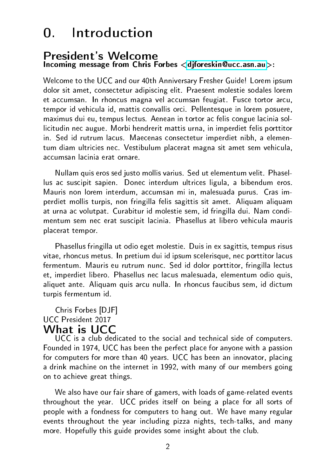### 0. Introduction

#### <span id="page-2-0"></span>President's Welcome Incoming message from Chris Forbes [<djforeskin@ucc.asn.au>](mailto:djforeskin@ucc.asn.au):

Welcome to the UCC and our 40th Anniversary Fresher Guide! Lorem ipsum dolor sit amet, consectetur adipiscing elit. Praesent molestie sodales lorem et accumsan. In rhoncus magna vel accumsan feugiat. Fusce tortor arcu, tempor id vehicula id, mattis convallis orci. Pellentesque in lorem posuere, maximus dui eu, tempus lectus. Aenean in tortor ac felis congue lacinia sollicitudin nec augue. Morbi hendrerit mattis urna, in imperdiet felis porttitor in. Sed id rutrum lacus. Maecenas consectetur imperdiet nibh, a elementum diam ultricies nec. Vestibulum placerat magna sit amet sem vehicula, accumsan lacinia erat ornare.

Nullam quis eros sed justo mollis varius. Sed ut elementum velit. Phasellus ac suscipit sapien. Donec interdum ultrices ligula, a bibendum eros. Mauris non lorem interdum, accumsan mi in, malesuada purus. Cras imperdiet mollis turpis, non fringilla felis sagittis sit amet. Aliquam aliquam at urna ac volutpat. Curabitur id molestie sem, id fringilla dui. Nam condimentum sem nec erat suscipit lacinia. Phasellus at libero vehicula mauris placerat tempor.

Phasellus fringilla ut odio eget molestie. Duis in ex sagittis, tempus risus vitae, rhoncus metus. In pretium dui id ipsum scelerisque, nec porttitor lacus fermentum. Mauris eu rutrum nunc. Sed id dolor porttitor, fringilla lectus et, imperdiet libero. Phasellus nec lacus malesuada, elementum odio quis, aliquet ante. Aliquam quis arcu nulla. In rhoncus faucibus sem, id dictum turpis fermentum id.

#### Chris Forbes [DJF] UCC President 2017 What is UCC

UCC is a club dedicated to the social and technical side of computers. Founded in 1974, UCC has been the perfect place for anyone with a passion for computers for more than 40 years. UCC has been an innovator, placing a drink machine on the internet in 1992, with many of our members going on to achieve great things.

We also have our fair share of gamers, with loads of game-related events throughout the year. UCC prides itself on being a place for all sorts of people with a fondness for computers to hang out. We have many regular events throughout the year including pizza nights, tech-talks, and many more. Hopefully this guide provides some insight about the club.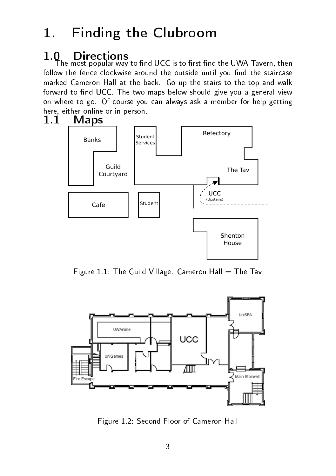## 1. Finding the Clubroom

#### <span id="page-3-1"></span><span id="page-3-0"></span>1.0 Directions

The most popular way to find UCC is to first find the UWA Tavern, then follow the fence clockwise around the outside until you find the staircase marked Cameron Hall at the back. Go up the stairs to the top and walk forward to find UCC. The two maps below should give you a general view on where to go. Of course you can always ask a member for help getting here, either online or in person.<br>1.1 Maps

#### <span id="page-3-2"></span>**Maps**



Figure 1.1: The Guild Village. Cameron Hall  $=$  The Tav



Figure 1.2: Second Floor of Cameron Hall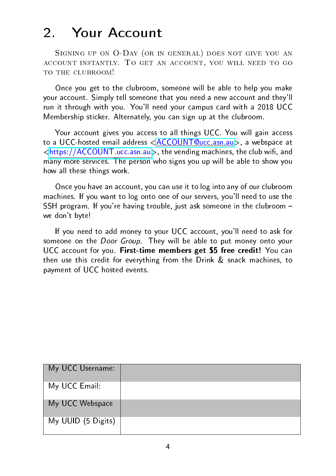## 2. Your Account

<span id="page-4-0"></span>SIGNING UP ON O-DAY (OR IN GENERAL) DOES NOT GIVE YOU AN account instantly. To get an account, you will need to go TO THE CLUBROOM!

Once you get to the clubroom, someone will be able to help you make your account. Simply tell someone that you need a new account and they'll run it through with you. You'll need your campus card with a 2018 UCC Membership sticker. Alternately, you can sign up at the clubroom.

Your account gives you access to all things UCC. You will gain access to a UCC-hosted email address [<ACCOUNT@ucc.asn.au>](ACCOUNT@ucc.asn.au), a webspace at [<https://ACCOUNT.ucc.asn.au>](https://ACCOUNT.ucc.asn.au), the vending machines, the club wifi, and many more services. The person who signs you up will be able to show you how all these things work.

Once you have an account, you can use it to log into any of our clubroom machines. If you want to log onto one of our servers, you'll need to use the SSH program. If you're having trouble, just ask someone in the clubroom we don't byte!

If you need to add money to your UCC account, you'll need to ask for someone on the *Door Group*. They will be able to put money onto your UCC account for you. First-time members get \$5 free credit! You can then use this credit for everything from the Drink & snack machines, to payment of UCC hosted events.

| My UCC Username:   |  |
|--------------------|--|
| My UCC Email:      |  |
| My UCC Webspace    |  |
| My UUID (5 Digits) |  |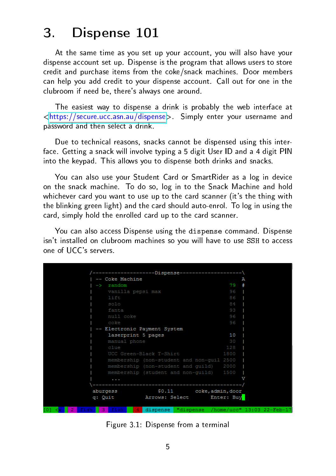### 3. Dispense 101

<span id="page-5-0"></span>At the same time as you set up your account, you will also have your dispense account set up. Dispense is the program that allows users to store credit and purchase items from the coke/snack machines. Door members can help you add credit to your dispense account. Call out for one in the clubroom if need be, there's always one around.

The easiest way to dispense a drink is probably the web interface at [<https://secure.ucc.asn.au/dispense>](https://secure.ucc.asn.au/dispense). Simply enter your username and password and then select a drink.

Due to technical reasons, snacks cannot be dispensed using this interface. Getting a snack will involve typing a 5 digit User ID and a 4 digit PIN into the keypad. This allows you to dispense both drinks and snacks.

You can also use your Student Card or SmartRider as a log in device on the snack machine. To do so, log in to the Snack Machine and hold whichever card you want to use up to the card scanner (it's the thing with the blinking green light) and the card should auto-enrol. To log in using the card, simply hold the enrolled card up to the card scanner.

You can also access Dispense using the dispense command. Dispense isn't installed on clubroom machines so you will have to use SSH to access one of UCC's servers.

|                       |                     | ---------------Dispense---------------------\ |      |                                               |
|-----------------------|---------------------|-----------------------------------------------|------|-----------------------------------------------|
|                       | -- Coke Machine     |                                               |      | А                                             |
| $\rightarrow$         | random              |                                               | 79   |                                               |
|                       | vanilla pepsi max   |                                               | 96   |                                               |
|                       | lift                |                                               | 86   |                                               |
|                       | solo                |                                               | 84   |                                               |
|                       | fanta               |                                               | 93   |                                               |
|                       | null coke           |                                               | 96   |                                               |
|                       | coke                |                                               | 96   |                                               |
|                       |                     | -- Electronic Payment System                  |      |                                               |
|                       | laserprint 5 pages  |                                               | 10   |                                               |
|                       | manual phone        |                                               | 30   |                                               |
|                       | clue                |                                               | 128  |                                               |
|                       |                     | UCC Green-Black T-Shirt                       | 1800 |                                               |
|                       |                     | membership (non-student and non-quil 2500     |      |                                               |
|                       |                     | membership (non-student and quild)            | 2000 |                                               |
|                       |                     | membership (student and non-guild) 1500       |      |                                               |
|                       |                     |                                               |      |                                               |
|                       |                     | -------------------------------------         |      |                                               |
|                       | aburgess            | \$0.11 coke, admin, door                      |      |                                               |
|                       | q: Quit             | Arrows: Select Enter: Buy                     |      |                                               |
|                       |                     |                                               |      |                                               |
| - 21<br><b>CALLES</b> | 2.164<br><b>A 1</b> |                                               |      | dienanea "dienanea /homa/ucc" 13:03 22_Fah_17 |

Figure 3.1: Dispense from a terminal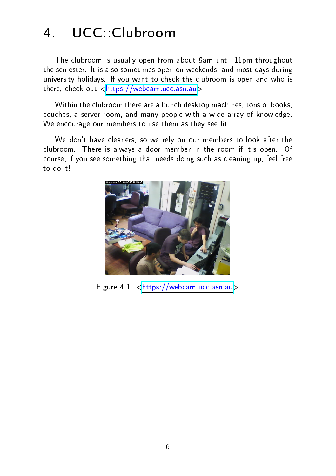## 4. UCC::Clubroom

<span id="page-6-0"></span>The clubroom is usually open from about 9am until 11pm throughout the semester. It is also sometimes open on weekends, and most days during university holidays. If you want to check the clubroom is open and who is there, check out [<https://webcam.ucc.asn.au>](https://webcam.ucc.asn.au)

Within the clubroom there are a bunch desktop machines, tons of books, couches, a server room, and many people with a wide array of knowledge. We encourage our members to use them as they see fit.

We don't have cleaners, so we rely on our members to look after the clubroom. There is always a door member in the room if it's open. Of course, if you see something that needs doing such as cleaning up, feel free to do it!



Figure 4.1: [<https://webcam.ucc.asn.au>](https://webcam.ucc.asn.au)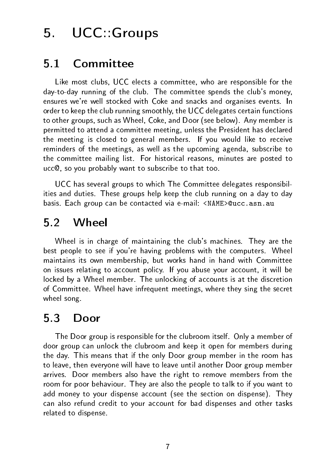### 5. UCC::Groups

#### <span id="page-7-1"></span><span id="page-7-0"></span>5.1 Committee

Like most clubs, UCC elects a committee, who are responsible for the day-to-day running of the club. The committee spends the club's money, ensures we're well stocked with Coke and snacks and organises events. In order to keep the club running smoothly, the UCC delegates certain functions to other groups, such as Wheel, Coke, and Door (see below). Any member is permitted to attend a committee meeting, unless the President has declared the meeting is closed to general members. If you would like to receive reminders of the meetings, as well as the upcoming agenda, subscribe to the committee mailing list. For historical reasons, minutes are posted to ucc@, so you probably want to subscribe to that too.

UCC has several groups to which The Committee delegates responsibilities and duties. These groups help keep the club running on a day to day basis. Each group can be contacted via e-mail: <NAME>@ucc.asn.au

#### <span id="page-7-2"></span>5.2 Wheel

Wheel is in charge of maintaining the club's machines. They are the best people to see if you're having problems with the computers. Wheel maintains its own membership, but works hand in hand with Committee on issues relating to account policy. If you abuse your account, it will be locked by a Wheel member. The unlocking of accounts is at the discretion of Committee. Wheel have infrequent meetings, where they sing the secret wheel song.

#### <span id="page-7-3"></span>5.3 Door

The Door group is responsible for the clubroom itself. Only a member of door group can unlock the clubroom and keep it open for members during the day. This means that if the only Door group member in the room has to leave, then everyone will have to leave until another Door group member arrives. Door members also have the right to remove members from the room for poor behaviour. They are also the people to talk to if you want to add money to your dispense account (see the section on dispense). They can also refund credit to your account for bad dispenses and other tasks related to dispense.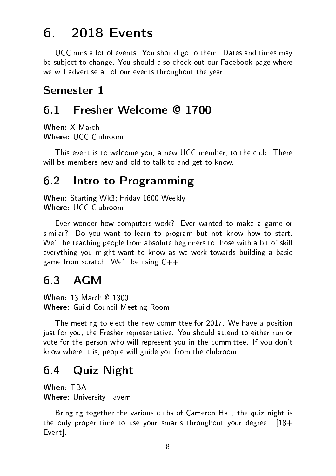### 6. 2018 Events

<span id="page-8-0"></span>UCC runs a lot of events. You should go to them! Dates and times may be subject to change. You should also check out our Facebook page where we will advertise all of our events throughout the year.

#### Semester 1

#### <span id="page-8-1"></span>6.1 Fresher Welcome @ 1700

When: X March Where: UCC Clubroom

This event is to welcome you, a new UCC member, to the club. There will be members new and old to talk to and get to know.

#### <span id="page-8-2"></span>6.2 Intro to Programming

When: Starting Wk3; Friday 1600 Weekly Where: UCC Clubroom

Ever wonder how computers work? Ever wanted to make a game or similar? Do you want to learn to program but not know how to start. We'll be teaching people from absolute beginners to those with a bit of skill everything you might want to know as we work towards building a basic game from scratch. We'll be using  $C++$ .

#### <span id="page-8-3"></span>6.3 AGM

When: 13 March @ 1300 Where: Guild Council Meeting Room

The meeting to elect the new committee for 2017. We have a position just for you, the Fresher representative. You should attend to either run or vote for the person who will represent you in the committee. If you don't know where it is, people will guide you from the clubroom.

#### <span id="page-8-4"></span>6.4 Quiz Night

When: TBA Where: University Tavern

Bringing together the various clubs of Cameron Hall, the quiz night is the only proper time to use your smarts throughout your degree.  $[18+$ Event].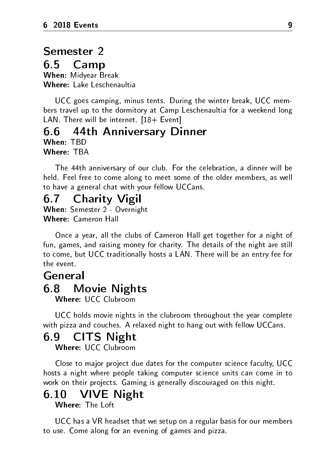### <span id="page-9-0"></span>Semester 2

#### 6.5 Camp

When: Midyear Break Where: Lake Leschenaultia

UCC goes camping, minus tents. During the winter break, UCC members travel up to the dormitory at Camp Leschenaultia for a weekend long LAN. There will be internet. [18+ Event]

#### <span id="page-9-1"></span>6.6 44th Anniversary Dinner

When: TBD

Where: TBA

The 44th anniversary of our club. For the celebration, a dinner will be held. Feel free to come along to meet some of the older members, as well to have a general chat with your fellow UCCans.

#### <span id="page-9-2"></span>6.7 Charity Vigil

When: Semester 2 - Overnight Where: Cameron Hall

Once a year, all the clubs of Cameron Hall get together for a night of fun, games, and raising money for charity. The details of the night are still to come, but UCC traditionally hosts a LAN. There will be an entry fee for the event.

#### <span id="page-9-3"></span>General

#### 6.8 Movie Nights

Where: UCC Clubroom

UCC holds movie nights in the clubroom throughout the year complete with pizza and couches. A relaxed night to hang out with fellow UCCans.

#### <span id="page-9-4"></span>6.9 CITS Night

Where: UCC Clubroom

Close to major project due dates for the computer science faculty, UCC hosts a night where people taking computer science units can come in to work on their projects. Gaming is generally discouraged on this night.

#### <span id="page-9-5"></span>6.10 VIVE Night

#### Where: The Loft

UCC has a VR headset that we setup on a regular basis for our members to use. Come along for an evening of games and pizza.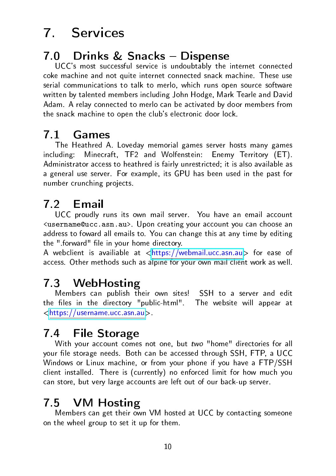## 7. Services

### <span id="page-10-1"></span><span id="page-10-0"></span>7.0 Drinks & Snacks - Dispense

UCC's most successful service is undoubtably the internet connected coke machine and not quite internet connected snack machine. These use serial communications to talk to merlo, which runs open source software written by talented members including John Hodge, Mark Tearle and David Adam. A relay connected to merlo can be activated by door members from the snack machine to open the club's electronic door lock.

#### <span id="page-10-2"></span>7.1 Games

The Heathred A. Loveday memorial games server hosts many games including: Minecraft, TF2 and Wolfenstein: Enemy Territory (ET). Administrator access to heathred is fairly unrestricted; it is also available as a general use server. For example, its GPU has been used in the past for number crunching projects.

#### <span id="page-10-3"></span>7.2 Email

UCC proudly runs its own mail server. You have an email account <username@ucc.asn.au>. Upon creating your account you can choose an address to foward all emails to. You can change this at any time by editing the " forward" file in your home directory.

A webclient is availiable at  $\langle$ https://webmail.ucc.asn.au> for ease of access. Other methods such as alpine for your own mail client work as well.

#### <span id="page-10-4"></span>7.3 WebHosting

Members can publish their own sites! SSH to a server and edit the files in the directory "public-html". The website will appear at [<https://username.ucc.asn.au>](https://username.ucc.asn.au).

### <span id="page-10-5"></span>7.4 File Storage

With your account comes not one, but two "home" directories for all your file storage needs. Both can be accessed through SSH, FTP, a UCC Windows or Linux machine, or from your phone if you have a FTP/SSH client installed. There is (currently) no enforced limit for how much you can store, but very large accounts are left out of our back-up server.

#### <span id="page-10-6"></span>7.5 VM Hosting

Members can get their own VM hosted at UCC by contacting someone on the wheel group to set it up for them.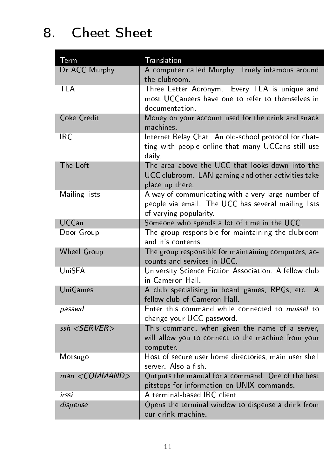## 8. Cheet Sheet

<span id="page-11-0"></span>

| Term               | Translation                                                                                                                         |  |  |  |
|--------------------|-------------------------------------------------------------------------------------------------------------------------------------|--|--|--|
| Dr ACC Murphy      | A computer called Murphy. Truely infamous around<br>the clubroom.                                                                   |  |  |  |
| <b>TLA</b>         | Three Letter Acronym. Every TLA is unique and<br>most UCCaneers have one to refer to themselves in<br>documentation                 |  |  |  |
| Coke Credit        | Money on your account used for the drink and snack<br>machines                                                                      |  |  |  |
| IRC.               | Internet Relay Chat. An old-school protocol for chat-<br>ting with people online that many UCCans still use<br>daily.               |  |  |  |
| The Loft           | The area above the UCC that looks down into the<br>UCC clubroom. LAN gaming and other activities take<br>place up there.            |  |  |  |
| Mailing lists      | A way of communicating with a very large number of<br>people via email. The UCC has several mailing lists<br>of varying popularity. |  |  |  |
| <b>UCCan</b>       | Someone who spends a lot of time in the UCC.                                                                                        |  |  |  |
| Door Group         | The group responsible for maintaining the clubroom<br>and it's contents                                                             |  |  |  |
| Wheel Group        | The group responsible for maintaining computers, ac-<br>counts and services in UCC.                                                 |  |  |  |
| UniSFA             | University Science Fiction Association. A fellow club<br>in Cameron Hall.                                                           |  |  |  |
| UniGames           | A club specialising in board games, RPGs, etc. A<br>fellow club of Cameron Hall.                                                    |  |  |  |
| passwd             | Enter this command while connected to mussel to<br>change your UCC password.                                                        |  |  |  |
| $ssh <$ SERVER $>$ | This command, when given the name of a server,<br>will allow you to connect to the machine from your<br>computer.                   |  |  |  |
| Motsugo            | Host of secure user home directories, main user shell<br>server. Also a fish.                                                       |  |  |  |
| $man <$ COMMAND>   | Outputs the manual for a command. One of the best<br>pitstops for information on UNIX commands.                                     |  |  |  |
| irssi              | A terminal-based IRC client.                                                                                                        |  |  |  |
| dispense           | Opens the terminal window to dispense a drink from<br>our drink machine.                                                            |  |  |  |